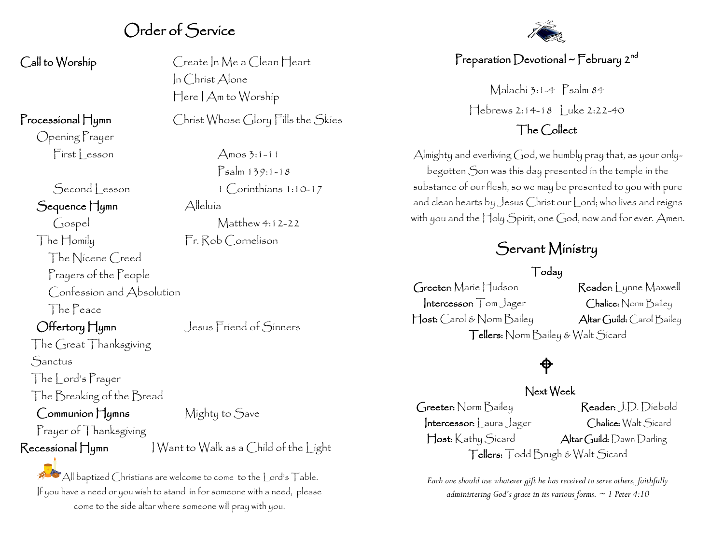## Order of Service

Opening Prayer  $First| reson$   $\Delta$ mos 3:1-11

### Sequence Hymn Alleluía

Gospel Matthew 4:12-22 The Homily Fr. Rob Cornelison The Nicene Creed Prayers of the People Confession and Absolution The Peace

The Great Thanksgiving

**Sanctus** 

The Lord's Prayer The Breaking of the Bread

Communion Hymns Mighty to Save

## Prayer of Thanksgiving

Call to Worship Create In Me a Clean Heart In Christ Alone Here I Am to Worship

Processional Hymn Christ Whose Glory Fills the Skies

 Psalm 139:1-18 Second lesson 1 Corinthians 1:10-17

Offertory Hymn Jesus Friend of Sinners

## $\mathsf{Recessional}\ \mathsf{H}$ ymn  $\qquad \qquad |\ \mathsf{W} \text{ant to Walk as a Child of the light}$

 $\mathbb{A}$ ll baptized Christians are welcome to come to the  $|$  ord's  $\Box$ able. If you have a need or you wish to stand in for someone with a need, please come to the side altar where someone will pray with you.



## Preparation Devotional ~ February 2<sup>nd</sup>

Malachi 3:1-4 Psalm 84 Hebrews 2:14-18 | uke 2:22-40

## The Collect

Almighty and everliving God, we humbly pray that, as your onlybegotten Son was this day presented in the temple in the substance of our flesh, so we may be presented to you with pure and clean hearts by Jesus Christ our Lord; who lives and reigns with you and the Holy Spirit, one God, now and for ever. Amen.

## Servant Ministry

### Today

Greeter: Marie Hudson Reader: Lynne Maxwell Intercessor: Tom Jager Chalice: Norm Bailey Host: Carol & Norm Bailey Altar Guild: Carol Bailey Tellers: Norm Bailey & Walt Sicard

# $\bigoplus$

### Next Week

Greeter: Norm Bailey Reader: J.D. Diebold Intercessor: Laura Jager Chalice: Walt Sicard Host: Kathy Sicard Altar Guild: Dawn Darling Tellers: Todd Brugh & Walt Sicard

*Each one should use whatever gift he has received to serve others, faithfully administering God's grace in its various forms. ~ 1 Peter 4:10*